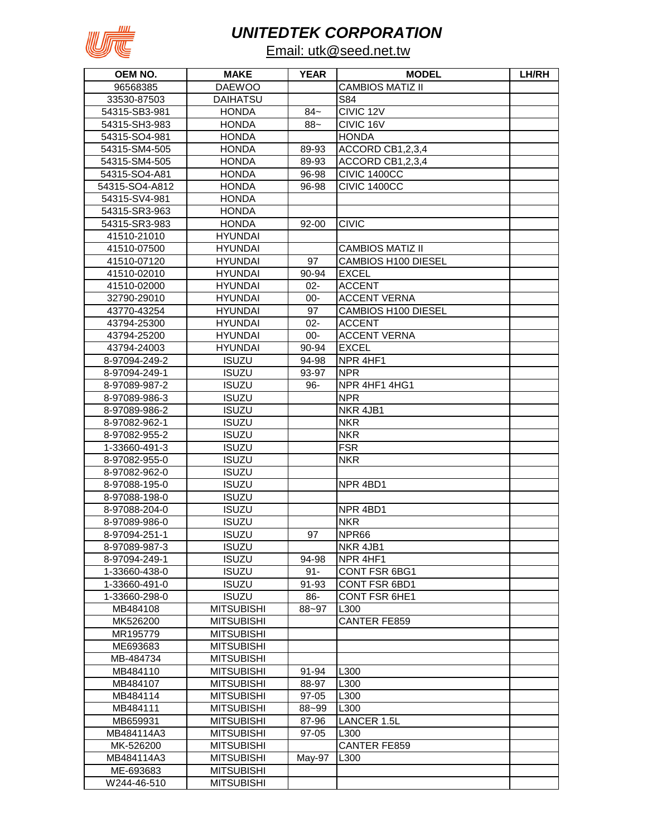

## *UNITEDTEK CORPORATION*

## Email: utk@seed.net.tw

| OEM NO.        | <b>MAKE</b>       | <b>YEAR</b> | <b>MODEL</b>            | LH/RH |
|----------------|-------------------|-------------|-------------------------|-------|
| 96568385       | <b>DAEWOO</b>     |             | <b>CAMBIOS MATIZ II</b> |       |
| 33530-87503    | DAIHATSU          |             | S84                     |       |
| 54315-SB3-981  | <b>HONDA</b>      | $84-$       | CIVIC 12V               |       |
| 54315-SH3-983  | <b>HONDA</b>      | $88 -$      | CIVIC 16V               |       |
| 54315-SO4-981  | <b>HONDA</b>      |             | <b>HONDA</b>            |       |
| 54315-SM4-505  | <b>HONDA</b>      | 89-93       | ACCORD CB1,2,3,4        |       |
| 54315-SM4-505  | <b>HONDA</b>      | 89-93       | ACCORD CB1,2,3,4        |       |
| 54315-SO4-A81  | <b>HONDA</b>      | 96-98       | CIVIC 1400CC            |       |
| 54315-SO4-A812 | <b>HONDA</b>      | 96-98       | CIVIC 1400CC            |       |
| 54315-SV4-981  | <b>HONDA</b>      |             |                         |       |
| 54315-SR3-963  | <b>HONDA</b>      |             |                         |       |
| 54315-SR3-983  | <b>HONDA</b>      | 92-00       | <b>CIVIC</b>            |       |
| 41510-21010    | <b>HYUNDAI</b>    |             |                         |       |
| 41510-07500    | <b>HYUNDAI</b>    |             | <b>CAMBIOS MATIZ II</b> |       |
| 41510-07120    | <b>HYUNDAI</b>    | 97          | CAMBIOS H100 DIESEL     |       |
| 41510-02010    | <b>HYUNDAI</b>    | 90-94       | <b>EXCEL</b>            |       |
| 41510-02000    | <b>HYUNDAI</b>    | $02 -$      | <b>ACCENT</b>           |       |
| 32790-29010    | <b>HYUNDAI</b>    | $00 -$      | <b>ACCENT VERNA</b>     |       |
| 43770-43254    | <b>HYUNDAI</b>    | 97          | CAMBIOS H100 DIESEL     |       |
| 43794-25300    | <b>HYUNDAI</b>    | $02 -$      | <b>ACCENT</b>           |       |
| 43794-25200    | <b>HYUNDAI</b>    | $00 -$      | <b>ACCENT VERNA</b>     |       |
| 43794-24003    | <b>HYUNDAI</b>    | 90-94       | <b>EXCEL</b>            |       |
| 8-97094-249-2  | <b>ISUZU</b>      | 94-98       | NPR 4HF1                |       |
| 8-97094-249-1  | <b>ISUZU</b>      | 93-97       | <b>NPR</b>              |       |
| 8-97089-987-2  | <b>ISUZU</b>      | 96-         | NPR 4HF1 4HG1           |       |
| 8-97089-986-3  | <b>ISUZU</b>      |             | <b>NPR</b>              |       |
| 8-97089-986-2  | <b>ISUZU</b>      |             | NKR 4JB1                |       |
| 8-97082-962-1  | <b>ISUZU</b>      |             | <b>NKR</b>              |       |
| 8-97082-955-2  | <b>ISUZU</b>      |             | <b>NKR</b>              |       |
| 1-33660-491-3  | <b>ISUZU</b>      |             | <b>FSR</b>              |       |
| 8-97082-955-0  | <b>ISUZU</b>      |             | <b>NKR</b>              |       |
| 8-97082-962-0  | <b>ISUZU</b>      |             |                         |       |
| 8-97088-195-0  | <b>ISUZU</b>      |             | NPR 4BD1                |       |
| 8-97088-198-0  | <b>ISUZU</b>      |             |                         |       |
| 8-97088-204-0  | <b>ISUZU</b>      |             | NPR 4BD1                |       |
| 8-97089-986-0  | <b>ISUZU</b>      |             | <b>NKR</b>              |       |
| 8-97094-251-1  | <b>ISUZU</b>      | 97          | NPR <sub>66</sub>       |       |
| 8-97089-987-3  | <b>ISUZU</b>      |             | NKR 4JB1                |       |
| 8-97094-249-1  | <b>ISUZU</b>      | 94-98       | NPR 4HF1                |       |
| 1-33660-438-0  | <b>ISUZU</b>      | $91 -$      | CONT FSR 6BG1           |       |
| 1-33660-491-0  | <b>ISUZU</b>      | 91-93       | CONT FSR 6BD1           |       |
| 1-33660-298-0  | <b>ISUZU</b>      | 86-         | <b>CONT FSR 6HE1</b>    |       |
| MB484108       | <b>MITSUBISHI</b> | 88~97       | L300                    |       |
| MK526200       | <b>MITSUBISHI</b> |             | <b>CANTER FE859</b>     |       |
| MR195779       | <b>MITSUBISHI</b> |             |                         |       |
| ME693683       | <b>MITSUBISHI</b> |             |                         |       |
| MB-484734      | <b>MITSUBISHI</b> |             |                         |       |
| MB484110       | <b>MITSUBISHI</b> | 91-94       | L300                    |       |
| MB484107       | <b>MITSUBISHI</b> | 88-97       | L300                    |       |
| MB484114       | <b>MITSUBISHI</b> | $97 - 05$   | L300                    |       |
| MB484111       | <b>MITSUBISHI</b> | 88~99       | L300                    |       |
| MB659931       | <b>MITSUBISHI</b> | 87-96       | LANCER 1.5L             |       |
| MB484114A3     | <b>MITSUBISHI</b> | $97 - 05$   | L300                    |       |
| MK-526200      | <b>MITSUBISHI</b> |             | <b>CANTER FE859</b>     |       |
| MB484114A3     | <b>MITSUBISHI</b> | May-97      | L300                    |       |
| ME-693683      | <b>MITSUBISHI</b> |             |                         |       |
| W244-46-510    | <b>MITSUBISHI</b> |             |                         |       |